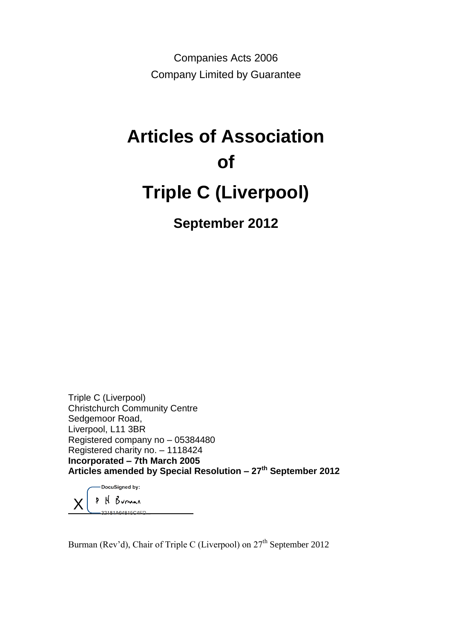Companies Acts 2006 Company Limited by Guarantee

# **Articles of Association of Triple C (Liverpool)**

**September 2012**

Triple C (Liverpool) Christchurch Community Centre Sedgemoor Road, Liverpool, L11 3BR Registered company no – 05384480 Registered charity no. – 1118424 **Incorporated – 7th March 2005 Articles amended by Special Resolution – 27th September 2012**

DocuSigned by: H Burnan X 32181464815C4ED

Burman (Rev'd), Chair of Triple C (Liverpool) on 27<sup>th</sup> September 2012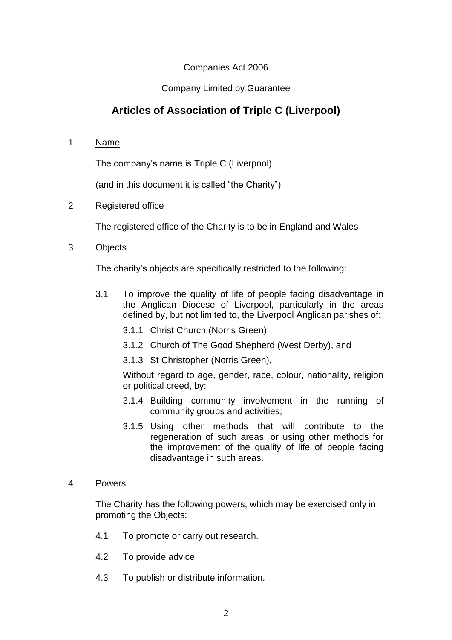## Companies Act 2006

## Company Limited by Guarantee

# **Articles of Association of Triple C (Liverpool)**

1 Name

The company's name is Triple C (Liverpool)

(and in this document it is called "the Charity")

2 Registered office

The registered office of the Charity is to be in England and Wales

3 Objects

The charity's objects are specifically restricted to the following:

- 3.1 To improve the quality of life of people facing disadvantage in the Anglican Diocese of Liverpool, particularly in the areas defined by, but not limited to, the Liverpool Anglican parishes of:
	- 3.1.1 Christ Church (Norris Green),
	- 3.1.2 Church of The Good Shepherd (West Derby), and
	- 3.1.3 St Christopher (Norris Green),

Without regard to age, gender, race, colour, nationality, religion or political creed, by:

- 3.1.4 Building community involvement in the running of community groups and activities;
- 3.1.5 Using other methods that will contribute to the regeneration of such areas, or using other methods for the improvement of the quality of life of people facing disadvantage in such areas.
- 4 Powers

The Charity has the following powers, which may be exercised only in promoting the Objects:

- 4.1 To promote or carry out research.
- 4.2 To provide advice.
- 4.3 To publish or distribute information.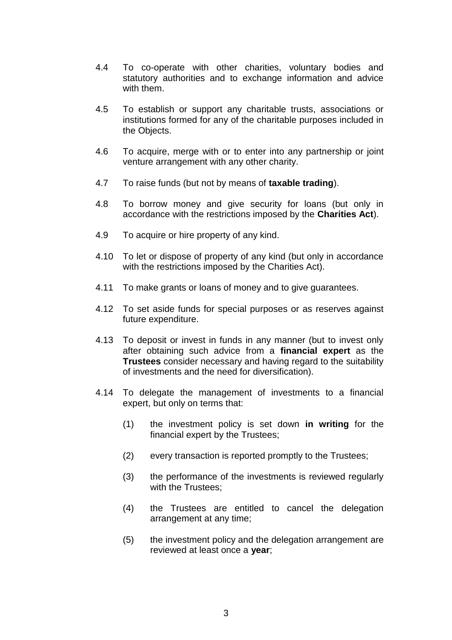- 4.4 To co-operate with other charities, voluntary bodies and statutory authorities and to exchange information and advice with them.
- 4.5 To establish or support any charitable trusts, associations or institutions formed for any of the charitable purposes included in the Objects.
- 4.6 To acquire, merge with or to enter into any partnership or joint venture arrangement with any other charity.
- 4.7 To raise funds (but not by means of **taxable trading**).
- 4.8 To borrow money and give security for loans (but only in accordance with the restrictions imposed by the **Charities Act**).
- 4.9 To acquire or hire property of any kind.
- 4.10 To let or dispose of property of any kind (but only in accordance with the restrictions imposed by the Charities Act).
- 4.11 To make grants or loans of money and to give guarantees.
- 4.12 To set aside funds for special purposes or as reserves against future expenditure.
- 4.13 To deposit or invest in funds in any manner (but to invest only after obtaining such advice from a **financial expert** as the **Trustees** consider necessary and having regard to the suitability of investments and the need for diversification).
- 4.14 To delegate the management of investments to a financial expert, but only on terms that:
	- (1) the investment policy is set down **in writing** for the financial expert by the Trustees;
	- (2) every transaction is reported promptly to the Trustees;
	- (3) the performance of the investments is reviewed regularly with the Trustees:
	- (4) the Trustees are entitled to cancel the delegation arrangement at any time;
	- (5) the investment policy and the delegation arrangement are reviewed at least once a **year**;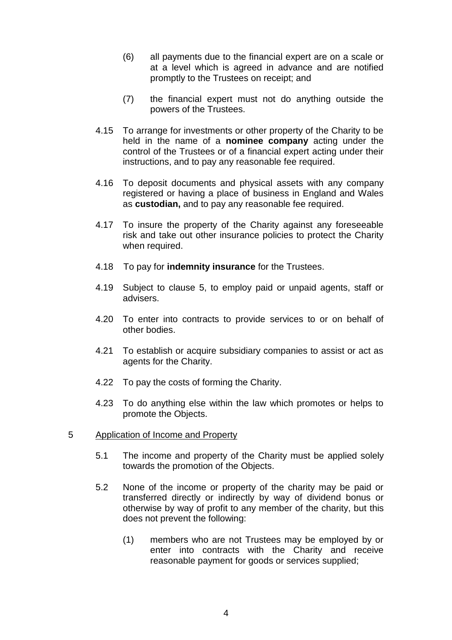- (6) all payments due to the financial expert are on a scale or at a level which is agreed in advance and are notified promptly to the Trustees on receipt; and
- (7) the financial expert must not do anything outside the powers of the Trustees.
- 4.15 To arrange for investments or other property of the Charity to be held in the name of a **nominee company** acting under the control of the Trustees or of a financial expert acting under their instructions, and to pay any reasonable fee required.
- 4.16 To deposit documents and physical assets with any company registered or having a place of business in England and Wales as **custodian,** and to pay any reasonable fee required.
- 4.17 To insure the property of the Charity against any foreseeable risk and take out other insurance policies to protect the Charity when required.
- 4.18 To pay for **indemnity insurance** for the Trustees.
- 4.19 Subject to clause 5, to employ paid or unpaid agents, staff or advisers.
- 4.20 To enter into contracts to provide services to or on behalf of other bodies.
- 4.21 To establish or acquire subsidiary companies to assist or act as agents for the Charity.
- 4.22 To pay the costs of forming the Charity.
- 4.23 To do anything else within the law which promotes or helps to promote the Objects.

#### 5 Application of Income and Property

- 5.1 The income and property of the Charity must be applied solely towards the promotion of the Objects.
- 5.2 None of the income or property of the charity may be paid or transferred directly or indirectly by way of dividend bonus or otherwise by way of profit to any member of the charity, but this does not prevent the following:
	- (1) members who are not Trustees may be employed by or enter into contracts with the Charity and receive reasonable payment for goods or services supplied;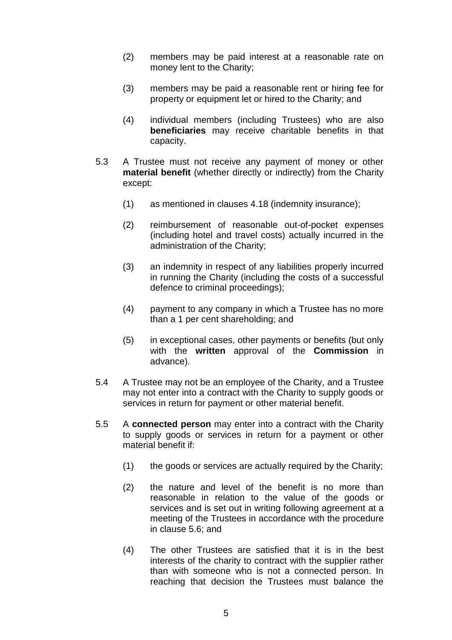- (2) members may be paid interest at a reasonable rate on money lent to the Charity;
- (3) members may be paid a reasonable rent or hiring fee for property or equipment let or hired to the Charity; and
- (4) individual members (including Trustees) who are also **beneficiaries** may receive charitable benefits in that capacity.
- 5.3 A Trustee must not receive any payment of money or other **material benefit** (whether directly or indirectly) from the Charity except:
	- (1) as mentioned in clauses 4.18 (indemnity insurance);
	- (2) reimbursement of reasonable out-of-pocket expenses (including hotel and travel costs) actually incurred in the administration of the Charity;
	- (3) an indemnity in respect of any liabilities properly incurred in running the Charity (including the costs of a successful defence to criminal proceedings);
	- (4) payment to any company in which a Trustee has no more than a 1 per cent shareholding; and
	- (5) in exceptional cases, other payments or benefits (but only with the **written** approval of the **Commission** in advance).
- 5.4 A Trustee may not be an employee of the Charity, and a Trustee may not enter into a contract with the Charity to supply goods or services in return for payment or other material benefit.
- 5.5 A **connected person** may enter into a contract with the Charity to supply goods or services in return for a payment or other material benefit if:
	- (1) the goods or services are actually required by the Charity;
	- (2) the nature and level of the benefit is no more than reasonable in relation to the value of the goods or services and is set out in writing following agreement at a meeting of the Trustees in accordance with the procedure in clause 5.6; and
	- (4) The other Trustees are satisfied that it is in the best interests of the charity to contract with the supplier rather than with someone who is not a connected person. In reaching that decision the Trustees must balance the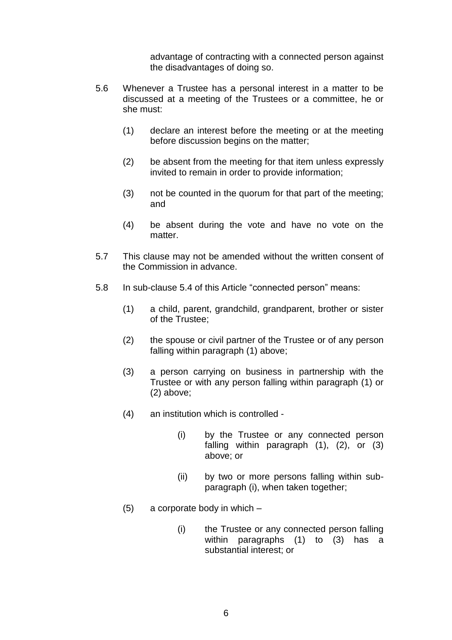advantage of contracting with a connected person against the disadvantages of doing so.

- 5.6 Whenever a Trustee has a personal interest in a matter to be discussed at a meeting of the Trustees or a committee, he or she must:
	- (1) declare an interest before the meeting or at the meeting before discussion begins on the matter;
	- (2) be absent from the meeting for that item unless expressly invited to remain in order to provide information;
	- (3) not be counted in the quorum for that part of the meeting; and
	- (4) be absent during the vote and have no vote on the matter.
- 5.7 This clause may not be amended without the written consent of the Commission in advance.
- 5.8 In sub-clause 5.4 of this Article "connected person" means:
	- (1) a child, parent, grandchild, grandparent, brother or sister of the Trustee;
	- (2) the spouse or civil partner of the Trustee or of any person falling within paragraph (1) above;
	- (3) a person carrying on business in partnership with the Trustee or with any person falling within paragraph (1) or (2) above;
	- (4) an institution which is controlled
		- (i) by the Trustee or any connected person falling within paragraph (1), (2), or (3) above; or
		- (ii) by two or more persons falling within subparagraph (i), when taken together;
	- (5) a corporate body in which
		- (i) the Trustee or any connected person falling within paragraphs (1) to (3) has a substantial interest; or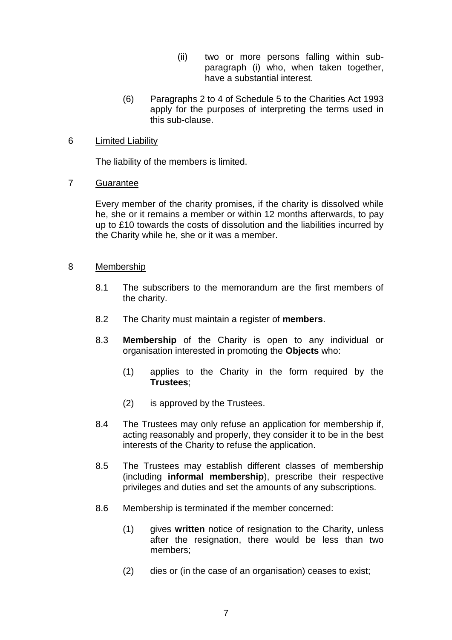- (ii) two or more persons falling within subparagraph (i) who, when taken together, have a substantial interest.
- (6) Paragraphs 2 to 4 of Schedule 5 to the Charities Act 1993 apply for the purposes of interpreting the terms used in this sub-clause.

#### 6 Limited Liability

The liability of the members is limited.

#### 7 Guarantee

Every member of the charity promises, if the charity is dissolved while he, she or it remains a member or within 12 months afterwards, to pay up to £10 towards the costs of dissolution and the liabilities incurred by the Charity while he, she or it was a member.

#### 8 Membership

- 8.1 The subscribers to the memorandum are the first members of the charity.
- 8.2 The Charity must maintain a register of **members**.
- 8.3 **Membership** of the Charity is open to any individual or organisation interested in promoting the **Objects** who:
	- (1) applies to the Charity in the form required by the **Trustees**;
	- (2) is approved by the Trustees.
- 8.4 The Trustees may only refuse an application for membership if, acting reasonably and properly, they consider it to be in the best interests of the Charity to refuse the application.
- 8.5 The Trustees may establish different classes of membership (including **informal membership**), prescribe their respective privileges and duties and set the amounts of any subscriptions.
- 8.6 Membership is terminated if the member concerned:
	- (1) gives **written** notice of resignation to the Charity, unless after the resignation, there would be less than two members;
	- (2) dies or (in the case of an organisation) ceases to exist;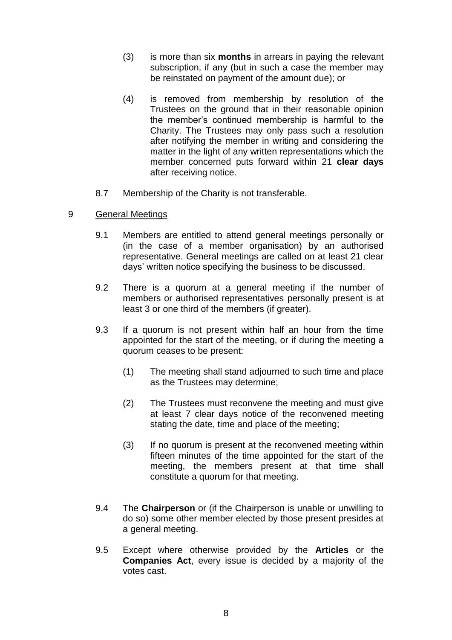- (3) is more than six **months** in arrears in paying the relevant subscription, if any (but in such a case the member may be reinstated on payment of the amount due); or
- (4) is removed from membership by resolution of the Trustees on the ground that in their reasonable opinion the member's continued membership is harmful to the Charity. The Trustees may only pass such a resolution after notifying the member in writing and considering the matter in the light of any written representations which the member concerned puts forward within 21 **clear days**  after receiving notice.
- 8.7 Membership of the Charity is not transferable.
- 9 General Meetings
	- 9.1 Members are entitled to attend general meetings personally or (in the case of a member organisation) by an authorised representative. General meetings are called on at least 21 clear days' written notice specifying the business to be discussed.
	- 9.2 There is a quorum at a general meeting if the number of members or authorised representatives personally present is at least 3 or one third of the members (if greater).
	- 9.3 If a quorum is not present within half an hour from the time appointed for the start of the meeting, or if during the meeting a quorum ceases to be present:
		- (1) The meeting shall stand adjourned to such time and place as the Trustees may determine;
		- (2) The Trustees must reconvene the meeting and must give at least 7 clear days notice of the reconvened meeting stating the date, time and place of the meeting;
		- (3) If no quorum is present at the reconvened meeting within fifteen minutes of the time appointed for the start of the meeting, the members present at that time shall constitute a quorum for that meeting.
	- 9.4 The **Chairperson** or (if the Chairperson is unable or unwilling to do so) some other member elected by those present presides at a general meeting.
	- 9.5 Except where otherwise provided by the **Articles** or the **Companies Act**, every issue is decided by a majority of the votes cast.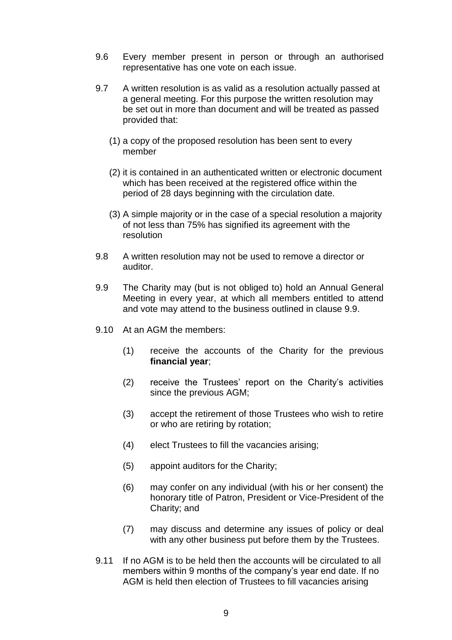- 9.6 Every member present in person or through an authorised representative has one vote on each issue.
- 9.7 A written resolution is as valid as a resolution actually passed at a general meeting. For this purpose the written resolution may be set out in more than document and will be treated as passed provided that:
	- (1) a copy of the proposed resolution has been sent to every member
	- (2) it is contained in an authenticated written or electronic document which has been received at the registered office within the period of 28 days beginning with the circulation date.
	- (3) A simple majority or in the case of a special resolution a majority of not less than 75% has signified its agreement with the resolution
- 9.8 A written resolution may not be used to remove a director or auditor.
- 9.9 The Charity may (but is not obliged to) hold an Annual General Meeting in every year, at which all members entitled to attend and vote may attend to the business outlined in clause 9.9.
- 9.10 At an AGM the members:
	- (1) receive the accounts of the Charity for the previous **financial year**;
	- (2) receive the Trustees' report on the Charity's activities since the previous AGM;
	- (3) accept the retirement of those Trustees who wish to retire or who are retiring by rotation;
	- (4) elect Trustees to fill the vacancies arising;
	- (5) appoint auditors for the Charity;
	- (6) may confer on any individual (with his or her consent) the honorary title of Patron, President or Vice-President of the Charity; and
	- (7) may discuss and determine any issues of policy or deal with any other business put before them by the Trustees.
- 9.11 If no AGM is to be held then the accounts will be circulated to all members within 9 months of the company's year end date. If no AGM is held then election of Trustees to fill vacancies arising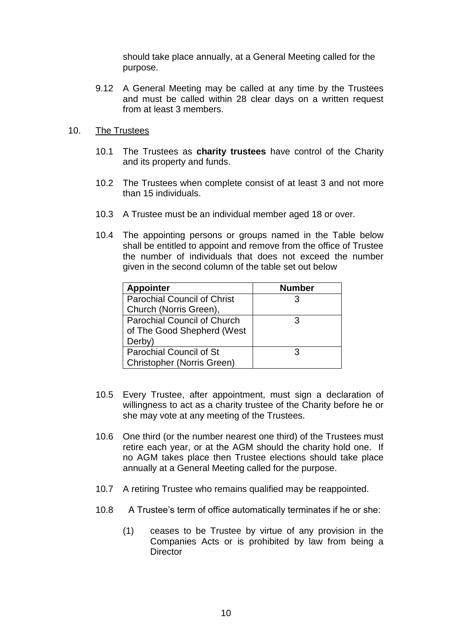should take place annually, at a General Meeting called for the purpose.

9.12 A General Meeting may be called at any time by the Trustees and must be called within 28 clear days on a written request from at least 3 members.

#### 10. The Trustees

- 10.1 The Trustees as **charity trustees** have control of the Charity and its property and funds.
- 10.2 The Trustees when complete consist of at least 3 and not more than 15 individuals.
- 10.3 A Trustee must be an individual member aged 18 or over.
- 10.4 The appointing persons or groups named in the Table below shall be entitled to appoint and remove from the office of Trustee the number of individuals that does not exceed the number given in the second column of the table set out below

| <b>Appointer</b>                   | <b>Number</b> |
|------------------------------------|---------------|
| <b>Parochial Council of Christ</b> |               |
| Church (Norris Green),             |               |
| <b>Parochial Council of Church</b> | З             |
| of The Good Shepherd (West         |               |
| Derby)                             |               |
| <b>Parochial Council of St</b>     | З             |
| <b>Christopher (Norris Green)</b>  |               |

- 10.5 Every Trustee, after appointment, must sign a declaration of willingness to act as a charity trustee of the Charity before he or she may vote at any meeting of the Trustees.
- 10.6 One third (or the number nearest one third) of the Trustees must retire each year, or at the AGM should the charity hold one. If no AGM takes place then Trustee elections should take place annually at a General Meeting called for the purpose.
- 10.7 A retiring Trustee who remains qualified may be reappointed.
- 10.8 A Trustee's term of office automatically terminates if he or she:
	- (1) ceases to be Trustee by virtue of any provision in the Companies Acts or is prohibited by law from being a **Director**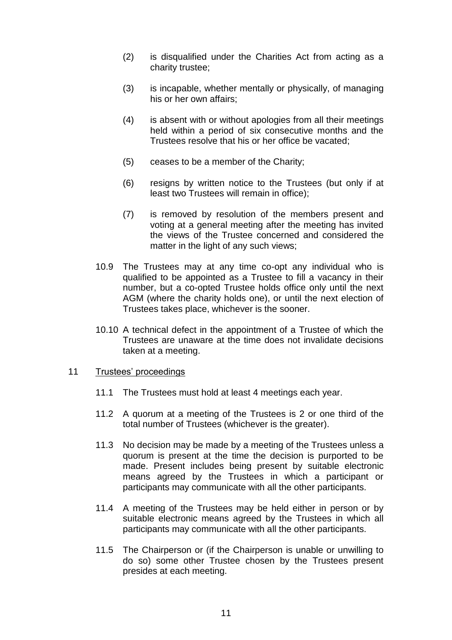- (2) is disqualified under the Charities Act from acting as a charity trustee;
- (3) is incapable, whether mentally or physically, of managing his or her own affairs;
- (4) is absent with or without apologies from all their meetings held within a period of six consecutive months and the Trustees resolve that his or her office be vacated;
- (5) ceases to be a member of the Charity;
- (6) resigns by written notice to the Trustees (but only if at least two Trustees will remain in office);
- (7) is removed by resolution of the members present and voting at a general meeting after the meeting has invited the views of the Trustee concerned and considered the matter in the light of any such views;
- 10.9 The Trustees may at any time co-opt any individual who is qualified to be appointed as a Trustee to fill a vacancy in their number, but a co-opted Trustee holds office only until the next AGM (where the charity holds one), or until the next election of Trustees takes place, whichever is the sooner.
- 10.10 A technical defect in the appointment of a Trustee of which the Trustees are unaware at the time does not invalidate decisions taken at a meeting.

#### 11 Trustees' proceedings

- 11.1 The Trustees must hold at least 4 meetings each year.
- 11.2 A quorum at a meeting of the Trustees is 2 or one third of the total number of Trustees (whichever is the greater).
- 11.3 No decision may be made by a meeting of the Trustees unless a quorum is present at the time the decision is purported to be made. Present includes being present by suitable electronic means agreed by the Trustees in which a participant or participants may communicate with all the other participants.
- 11.4 A meeting of the Trustees may be held either in person or by suitable electronic means agreed by the Trustees in which all participants may communicate with all the other participants.
- 11.5 The Chairperson or (if the Chairperson is unable or unwilling to do so) some other Trustee chosen by the Trustees present presides at each meeting.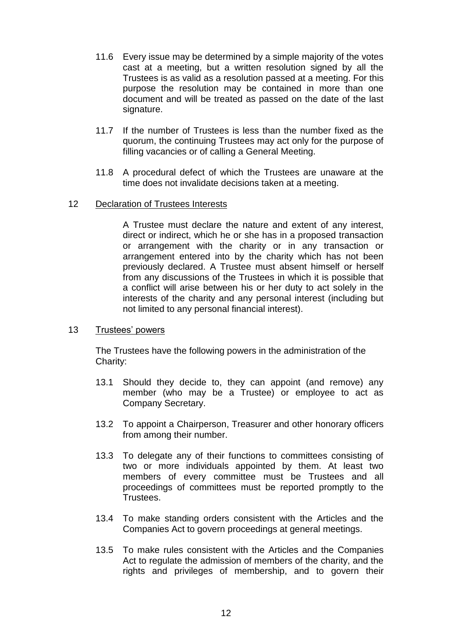- 11.6 Every issue may be determined by a simple majority of the votes cast at a meeting, but a written resolution signed by all the Trustees is as valid as a resolution passed at a meeting. For this purpose the resolution may be contained in more than one document and will be treated as passed on the date of the last signature.
- 11.7 If the number of Trustees is less than the number fixed as the quorum, the continuing Trustees may act only for the purpose of filling vacancies or of calling a General Meeting.
- 11.8 A procedural defect of which the Trustees are unaware at the time does not invalidate decisions taken at a meeting.
- 12 Declaration of Trustees Interests

A Trustee must declare the nature and extent of any interest, direct or indirect, which he or she has in a proposed transaction or arrangement with the charity or in any transaction or arrangement entered into by the charity which has not been previously declared. A Trustee must absent himself or herself from any discussions of the Trustees in which it is possible that a conflict will arise between his or her duty to act solely in the interests of the charity and any personal interest (including but not limited to any personal financial interest).

13 Trustees' powers

The Trustees have the following powers in the administration of the Charity:

- 13.1 Should they decide to, they can appoint (and remove) any member (who may be a Trustee) or employee to act as Company Secretary.
- 13.2 To appoint a Chairperson, Treasurer and other honorary officers from among their number.
- 13.3 To delegate any of their functions to committees consisting of two or more individuals appointed by them. At least two members of every committee must be Trustees and all proceedings of committees must be reported promptly to the Trustees.
- 13.4 To make standing orders consistent with the Articles and the Companies Act to govern proceedings at general meetings.
- 13.5 To make rules consistent with the Articles and the Companies Act to regulate the admission of members of the charity, and the rights and privileges of membership, and to govern their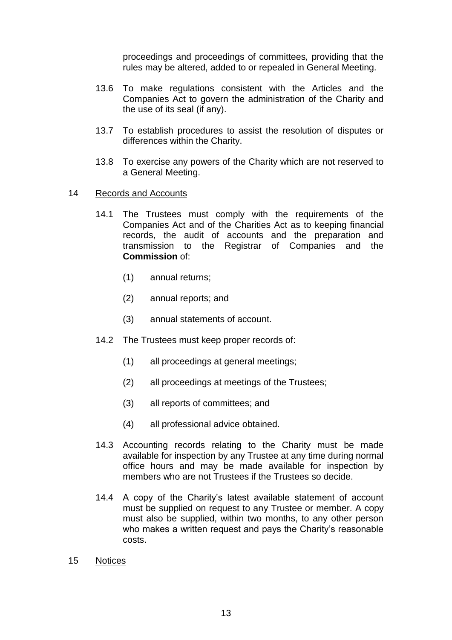proceedings and proceedings of committees, providing that the rules may be altered, added to or repealed in General Meeting.

- 13.6 To make regulations consistent with the Articles and the Companies Act to govern the administration of the Charity and the use of its seal (if any).
- 13.7 To establish procedures to assist the resolution of disputes or differences within the Charity.
- 13.8 To exercise any powers of the Charity which are not reserved to a General Meeting.
- 14 Records and Accounts
	- 14.1 The Trustees must comply with the requirements of the Companies Act and of the Charities Act as to keeping financial records, the audit of accounts and the preparation and transmission to the Registrar of Companies and the **Commission** of:
		- (1) annual returns;
		- (2) annual reports; and
		- (3) annual statements of account.
	- 14.2 The Trustees must keep proper records of:
		- (1) all proceedings at general meetings;
		- (2) all proceedings at meetings of the Trustees;
		- (3) all reports of committees; and
		- (4) all professional advice obtained.
	- 14.3 Accounting records relating to the Charity must be made available for inspection by any Trustee at any time during normal office hours and may be made available for inspection by members who are not Trustees if the Trustees so decide.
	- 14.4 A copy of the Charity's latest available statement of account must be supplied on request to any Trustee or member. A copy must also be supplied, within two months, to any other person who makes a written request and pays the Charity's reasonable costs.
- 15 Notices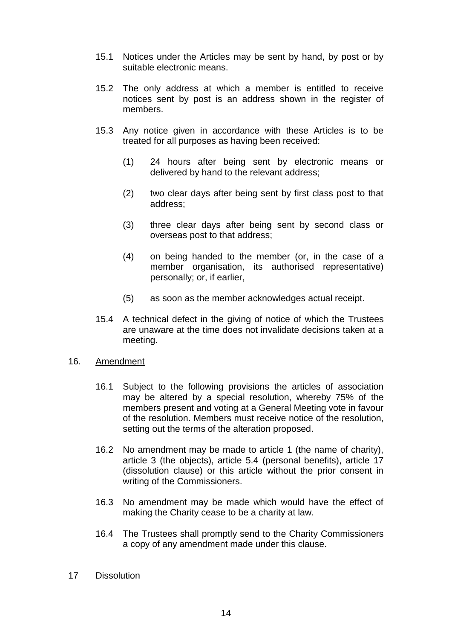- 15.1 Notices under the Articles may be sent by hand, by post or by suitable electronic means.
- 15.2 The only address at which a member is entitled to receive notices sent by post is an address shown in the register of members.
- 15.3 Any notice given in accordance with these Articles is to be treated for all purposes as having been received:
	- (1) 24 hours after being sent by electronic means or delivered by hand to the relevant address;
	- (2) two clear days after being sent by first class post to that address;
	- (3) three clear days after being sent by second class or overseas post to that address;
	- (4) on being handed to the member (or, in the case of a member organisation, its authorised representative) personally; or, if earlier,
	- (5) as soon as the member acknowledges actual receipt.
- 15.4 A technical defect in the giving of notice of which the Trustees are unaware at the time does not invalidate decisions taken at a meeting.

#### 16. Amendment

- 16.1 Subject to the following provisions the articles of association may be altered by a special resolution, whereby 75% of the members present and voting at a General Meeting vote in favour of the resolution. Members must receive notice of the resolution, setting out the terms of the alteration proposed.
- 16.2 No amendment may be made to article 1 (the name of charity), article 3 (the objects), article 5.4 (personal benefits), article 17 (dissolution clause) or this article without the prior consent in writing of the Commissioners.
- 16.3 No amendment may be made which would have the effect of making the Charity cease to be a charity at law.
- 16.4 The Trustees shall promptly send to the Charity Commissioners a copy of any amendment made under this clause.
- 17 Dissolution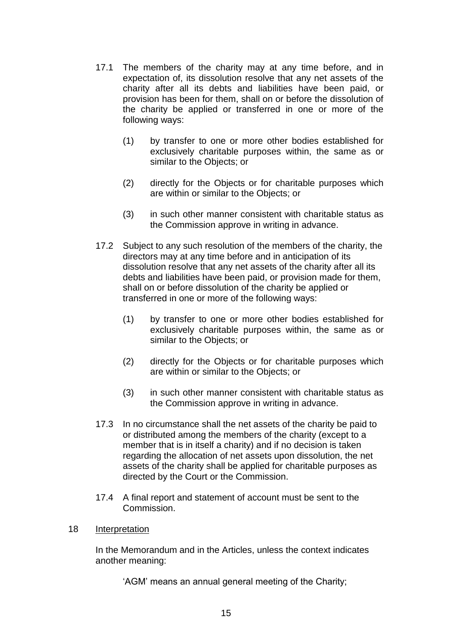- 17.1 The members of the charity may at any time before, and in expectation of, its dissolution resolve that any net assets of the charity after all its debts and liabilities have been paid, or provision has been for them, shall on or before the dissolution of the charity be applied or transferred in one or more of the following ways:
	- (1) by transfer to one or more other bodies established for exclusively charitable purposes within, the same as or similar to the Objects; or
	- (2) directly for the Objects or for charitable purposes which are within or similar to the Objects; or
	- (3) in such other manner consistent with charitable status as the Commission approve in writing in advance.
- 17.2 Subject to any such resolution of the members of the charity, the directors may at any time before and in anticipation of its dissolution resolve that any net assets of the charity after all its debts and liabilities have been paid, or provision made for them, shall on or before dissolution of the charity be applied or transferred in one or more of the following ways:
	- (1) by transfer to one or more other bodies established for exclusively charitable purposes within, the same as or similar to the Objects; or
	- (2) directly for the Objects or for charitable purposes which are within or similar to the Objects; or
	- (3) in such other manner consistent with charitable status as the Commission approve in writing in advance.
- 17.3 In no circumstance shall the net assets of the charity be paid to or distributed among the members of the charity (except to a member that is in itself a charity) and if no decision is taken regarding the allocation of net assets upon dissolution, the net assets of the charity shall be applied for charitable purposes as directed by the Court or the Commission.
- 17.4 A final report and statement of account must be sent to the Commission.
- 18 Interpretation

In the Memorandum and in the Articles, unless the context indicates another meaning:

'AGM' means an annual general meeting of the Charity;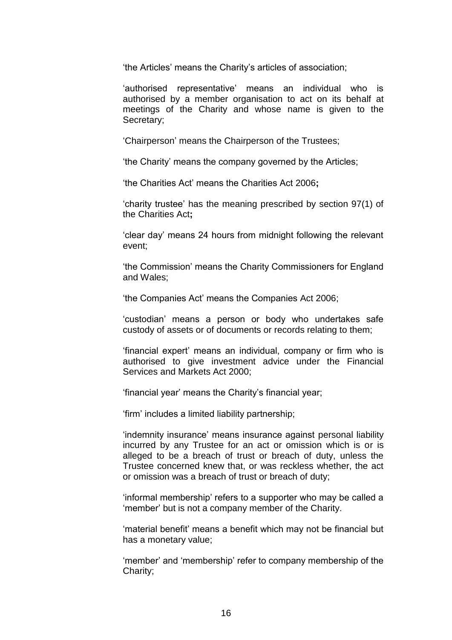'the Articles' means the Charity's articles of association;

'authorised representative' means an individual who is authorised by a member organisation to act on its behalf at meetings of the Charity and whose name is given to the Secretary;

'Chairperson' means the Chairperson of the Trustees;

'the Charity' means the company governed by the Articles;

'the Charities Act' means the Charities Act 2006**;**

'charity trustee' has the meaning prescribed by section 97(1) of the Charities Act**;** 

'clear day' means 24 hours from midnight following the relevant event;

'the Commission' means the Charity Commissioners for England and Wales;

'the Companies Act' means the Companies Act 2006;

'custodian' means a person or body who undertakes safe custody of assets or of documents or records relating to them;

'financial expert' means an individual, company or firm who is authorised to give investment advice under the Financial Services and Markets Act 2000;

'financial year' means the Charity's financial year;

'firm' includes a limited liability partnership;

'indemnity insurance' means insurance against personal liability incurred by any Trustee for an act or omission which is or is alleged to be a breach of trust or breach of duty, unless the Trustee concerned knew that, or was reckless whether, the act or omission was a breach of trust or breach of duty;

'informal membership' refers to a supporter who may be called a 'member' but is not a company member of the Charity.

'material benefit' means a benefit which may not be financial but has a monetary value;

'member' and 'membership' refer to company membership of the Charity;